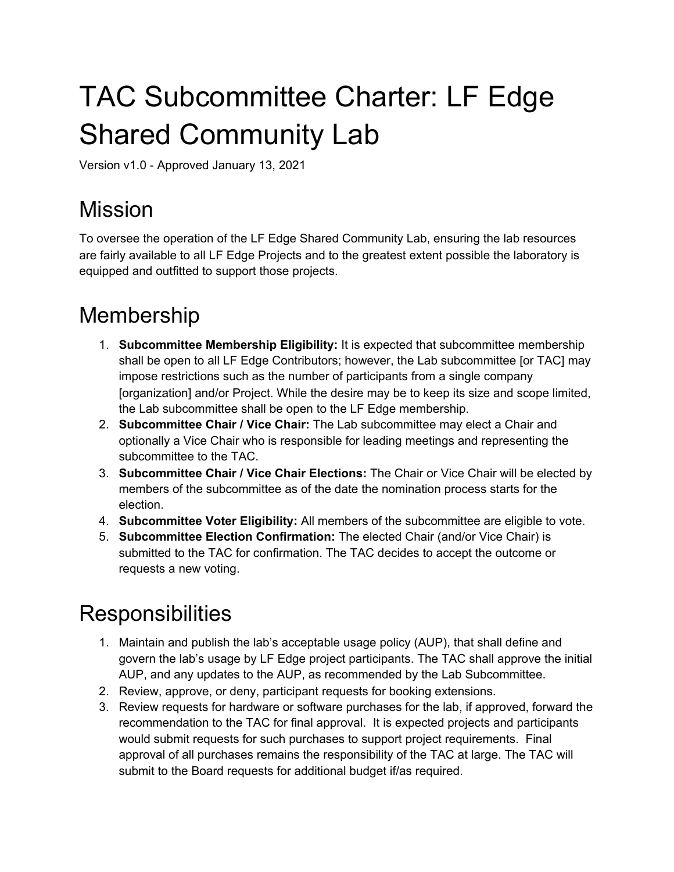## TAC Subcommittee Charter: LF Edge Shared Community Lab

Version v1.0 - Approved January 13, 2021

## Mission

To oversee the operation of the LF Edge Shared Community Lab, ensuring the lab resources are fairly available to all LF Edge Projects and to the greatest extent possible the laboratory is equipped and outfitted to support those projects.

## Membership

- 1. **Subcommittee Membership Eligibility:** It is expected that subcommittee membership shall be open to all LF Edge Contributors; however, the Lab subcommittee [or TAC] may impose restrictions such as the number of participants from a single company [organization] and/or Project. While the desire may be to keep its size and scope limited, the Lab subcommittee shall be open to the LF Edge membership.
- 2. **Subcommittee Chair / Vice Chair:** The Lab subcommittee may elect a Chair and optionally a Vice Chair who is responsible for leading meetings and representing the subcommittee to the TAC.
- 3. **Subcommittee Chair / Vice Chair Elections:** The Chair or Vice Chair will be elected by members of the subcommittee as of the date the nomination process starts for the election.
- 4. **Subcommittee Voter Eligibility:** All members of the subcommittee are eligible to vote.
- 5. **Subcommittee Election Confirmation:** The elected Chair (and/or Vice Chair) is submitted to the TAC for confirmation. The TAC decides to accept the outcome or requests a new voting.

## **Responsibilities**

- 1. Maintain and publish the lab's acceptable usage policy (AUP), that shall define and govern the lab's usage by LF Edge project participants. The TAC shall approve the initial AUP, and any updates to the AUP, as recommended by the Lab Subcommittee.
- 2. Review, approve, or deny, participant requests for booking extensions.
- 3. Review requests for hardware or software purchases for the lab, if approved, forward the recommendation to the TAC for final approval. It is expected projects and participants would submit requests for such purchases to support project requirements. Final approval of all purchases remains the responsibility of the TAC at large. The TAC will submit to the Board requests for additional budget if/as required.